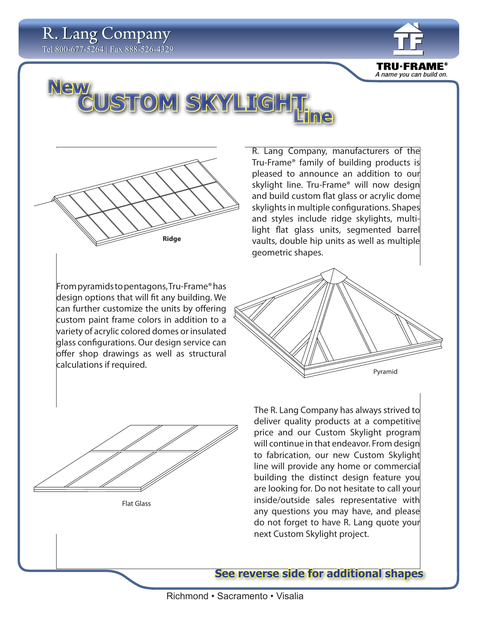



Flat Glass

price and our Custom Skylight program will continue in that endeavor. From design to fabrication, our new Custom Skylight line will provide any home or commercial building the distinct design feature you are looking for. Do not hesitate to call your inside/outside sales representative with any questions you may have, and please do not forget to have R. Lang quote your next Custom Skylight project.

**See reverse side for additional shapes**